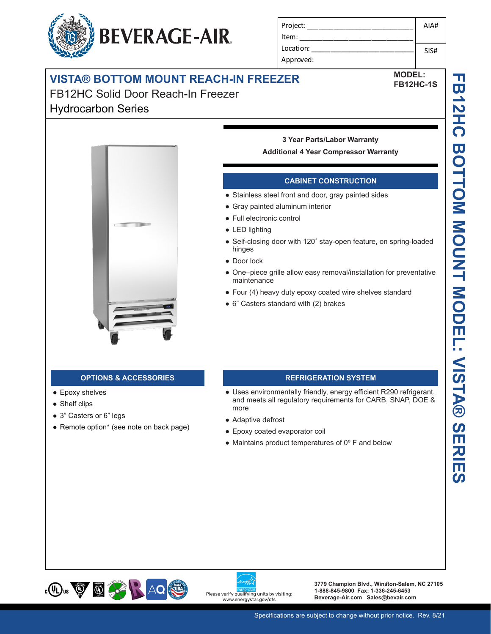# Approved: **VISTA® BOTTOM MOUNT REACH-IN FREEZER**

**BEVERAGE-AIR.** 

FB12HC Solid Door Reach-In Freezer Hydrocarbon Series



## **3 Year Parts/Labor Warranty**

Project: \_\_\_\_\_\_\_\_\_\_\_\_\_\_\_\_\_\_\_\_\_\_\_\_\_\_\_\_

Item: Location:

#### **Additional 4 Year Compressor Warranty**

### **CABINET CONSTRUCTION**

- Stainless steel front and door, gray painted sides
- Gray painted aluminum interior
- Full electronic control
- LED lighting
- Self-closing door with 120˚ stay-open feature, on spring-loaded hinges
- Door lock
- One–piece grille allow easy removal/installation for preventative maintenance
- Four (4) heavy duty epoxy coated wire shelves standard
- 6" Casters standard with (2) brakes

#### **OPTIONS & ACCESSORIES REFRIGERATION SYSTEM**

- Epoxy shelves
- Shelf clips
- 3" Casters or 6" legs
- Remote option\* (see note on back page)

- Uses environmentally friendly, energy efficient R290 refrigerant, and meets all regulatory requirements for CARB, SNAP, DOE & more
- Adaptive defrost
- Epoxy coated evaporator coil
- $\bullet$  Maintains product temperatures of  $0^{\circ}$  F and below





**3779 Champion Blvd., Winston-Salem, NC 27105 1-888-845-9800 Fax: 1-336-245-6453**  Please verify qualifying units by visiting:<br>Beverage-Air.com Sales@bevair.com<br>www.energystar.gov/cfs

AIA#

SIS#

**MODEL: FB12HC-1S**